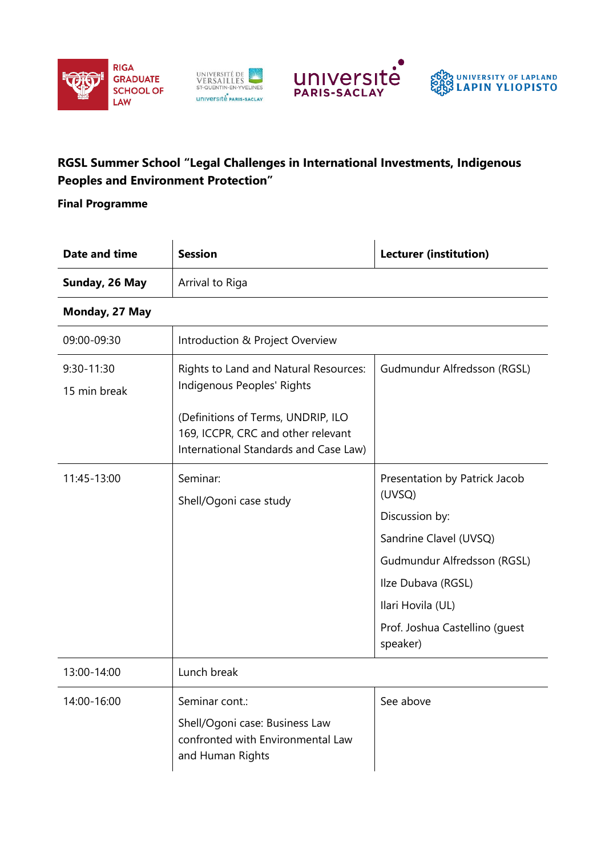







## **RGSL Summer School "Legal Challenges in International Investments, Indigenous Peoples and Environment Protection"**

**Final Programme**

| Date and time              | <b>Session</b>                                                                                                                                                                           | <b>Lecturer (institution)</b>                                                                                                                                                                               |
|----------------------------|------------------------------------------------------------------------------------------------------------------------------------------------------------------------------------------|-------------------------------------------------------------------------------------------------------------------------------------------------------------------------------------------------------------|
| Sunday, 26 May             | Arrival to Riga                                                                                                                                                                          |                                                                                                                                                                                                             |
| Monday, 27 May             |                                                                                                                                                                                          |                                                                                                                                                                                                             |
| 09:00-09:30                | Introduction & Project Overview                                                                                                                                                          |                                                                                                                                                                                                             |
| 9:30-11:30<br>15 min break | Rights to Land and Natural Resources:<br>Indigenous Peoples' Rights<br>(Definitions of Terms, UNDRIP, ILO<br>169, ICCPR, CRC and other relevant<br>International Standards and Case Law) | Gudmundur Alfredsson (RGSL)                                                                                                                                                                                 |
| 11:45-13:00                | Seminar:<br>Shell/Ogoni case study                                                                                                                                                       | Presentation by Patrick Jacob<br>(UVSQ)<br>Discussion by:<br>Sandrine Clavel (UVSQ)<br>Gudmundur Alfredsson (RGSL)<br>Ilze Dubava (RGSL)<br>Ilari Hovila (UL)<br>Prof. Joshua Castellino (guest<br>speaker) |
| 13:00-14:00                | Lunch break                                                                                                                                                                              |                                                                                                                                                                                                             |
| 14:00-16:00                | Seminar cont.:<br>Shell/Ogoni case: Business Law<br>confronted with Environmental Law<br>and Human Rights                                                                                | See above                                                                                                                                                                                                   |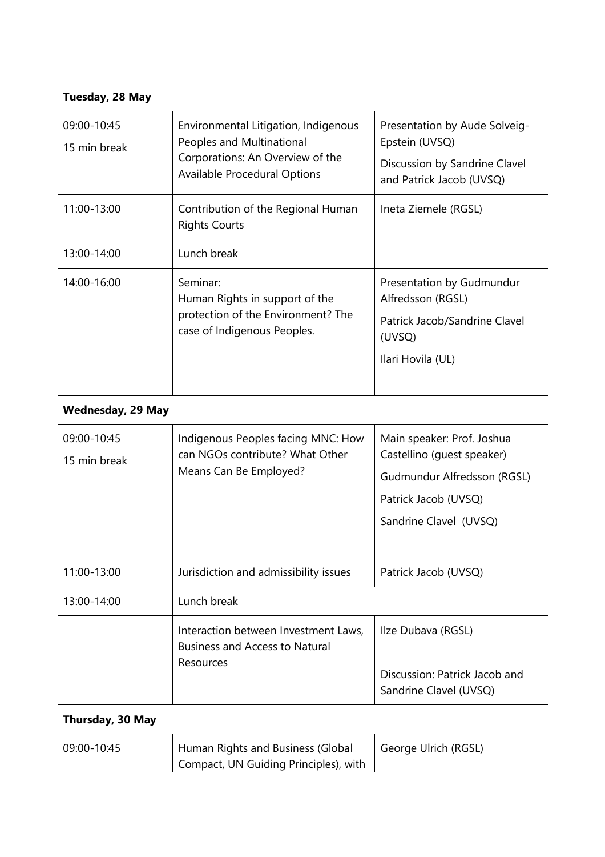## **Tuesday, 28 May**

| 09:00-10:45<br>15 min break | Environmental Litigation, Indigenous<br>Peoples and Multinational<br>Corporations: An Overview of the<br>Available Procedural Options | Presentation by Aude Solveig-<br>Epstein (UVSQ)<br>Discussion by Sandrine Clavel<br>and Patrick Jacob (UVSQ)   |
|-----------------------------|---------------------------------------------------------------------------------------------------------------------------------------|----------------------------------------------------------------------------------------------------------------|
| 11:00-13:00                 | Contribution of the Regional Human<br><b>Rights Courts</b>                                                                            | Ineta Ziemele (RGSL)                                                                                           |
| 13:00-14:00                 | Lunch break                                                                                                                           |                                                                                                                |
| 14:00-16:00                 | Seminar:<br>Human Rights in support of the<br>protection of the Environment? The<br>case of Indigenous Peoples.                       | Presentation by Gudmundur<br>Alfredsson (RGSL)<br>Patrick Jacob/Sandrine Clavel<br>(UVSQ)<br>Ilari Hovila (UL) |

## **Wednesday, 29 May**

**Thursday, 30 May**

| 09:00-10:45<br>15 min break | Indigenous Peoples facing MNC: How<br>can NGOs contribute? What Other<br>Means Can Be Employed? | Main speaker: Prof. Joshua<br>Castellino (quest speaker)<br>Gudmundur Alfredsson (RGSL)<br>Patrick Jacob (UVSQ)<br>Sandrine Clavel (UVSQ) |
|-----------------------------|-------------------------------------------------------------------------------------------------|-------------------------------------------------------------------------------------------------------------------------------------------|
| 11:00-13:00                 | Jurisdiction and admissibility issues                                                           | Patrick Jacob (UVSQ)                                                                                                                      |
| 13:00-14:00                 | Lunch break                                                                                     |                                                                                                                                           |
|                             | Interaction between Investment Laws,<br><b>Business and Access to Natural</b><br>Resources      | Ilze Dubava (RGSL)<br>Discussion: Patrick Jacob and<br>Sandrine Clavel (UVSQ)                                                             |

| 09:00-10:45 | Human Rights and Business (Global     | George Ulrich (RGSL) |
|-------------|---------------------------------------|----------------------|
|             | Compact, UN Guiding Principles), with |                      |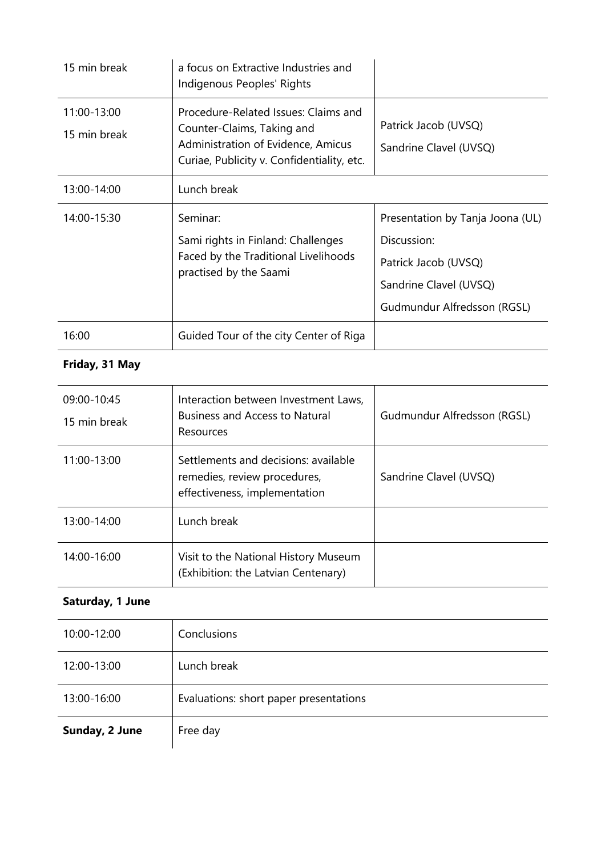| 15 min break                | a focus on Extractive Industries and<br>Indigenous Peoples' Rights                                                                                     |                                                                                                                                  |
|-----------------------------|--------------------------------------------------------------------------------------------------------------------------------------------------------|----------------------------------------------------------------------------------------------------------------------------------|
| 11:00-13:00<br>15 min break | Procedure-Related Issues: Claims and<br>Counter-Claims, Taking and<br>Administration of Evidence, Amicus<br>Curiae, Publicity v. Confidentiality, etc. | Patrick Jacob (UVSQ)<br>Sandrine Clavel (UVSQ)                                                                                   |
| 13:00-14:00                 | Lunch break                                                                                                                                            |                                                                                                                                  |
| 14:00-15:30                 | Seminar:<br>Sami rights in Finland: Challenges<br>Faced by the Traditional Livelihoods<br>practised by the Saami                                       | Presentation by Tanja Joona (UL)<br>Discussion:<br>Patrick Jacob (UVSQ)<br>Sandrine Clavel (UVSQ)<br>Gudmundur Alfredsson (RGSL) |
| 16:00                       | Guided Tour of the city Center of Riga                                                                                                                 |                                                                                                                                  |
| Friday, 31 May              |                                                                                                                                                        |                                                                                                                                  |

| 09:00-10:45<br>15 min break | Interaction between Investment Laws,<br><b>Business and Access to Natural</b><br>Resources            | Gudmundur Alfredsson (RGSL) |
|-----------------------------|-------------------------------------------------------------------------------------------------------|-----------------------------|
| 11:00-13:00                 | Settlements and decisions: available<br>remedies, review procedures,<br>effectiveness, implementation | Sandrine Clavel (UVSQ)      |
| 13:00-14:00                 | Lunch break                                                                                           |                             |
| 14:00-16:00                 | Visit to the National History Museum<br>(Exhibition: the Latvian Centenary)                           |                             |

## **Saturday, 1 June**

| 10:00-12:00    | Conclusions                            |
|----------------|----------------------------------------|
| 12:00-13:00    | Lunch break                            |
| 13:00-16:00    | Evaluations: short paper presentations |
| Sunday, 2 June | Free day                               |